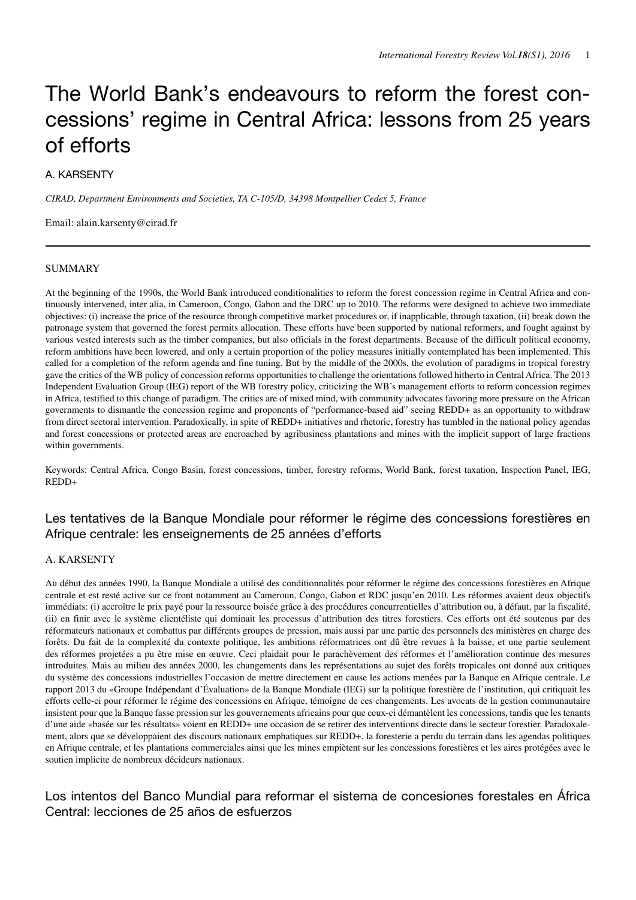# The World Bank's endeavours to reform the forest concessions' regime in Central Africa: lessons from 25 years of efforts

# A. KARSENTY

*CIRAD, Department Environments and Societies, TA C-105/D, 34398 Montpellier Cedex 5, France*

Email: alain.karsenty@cirad.fr

#### SUMMARY

At the beginning of the 1990s, the World Bank introduced conditionalities to reform the forest concession regime in Central Africa and continuously intervened, inter alia, in Cameroon, Congo, Gabon and the DRC up to 2010. The reforms were designed to achieve two immediate objectives: (i) increase the price of the resource through competitive market procedures or, if inapplicable, through taxation, (ii) break down the patronage system that governed the forest permits allocation. These efforts have been supported by national reformers, and fought against by various vested interests such as the timber companies, but also officials in the forest departments. Because of the difficult political economy, reform ambitions have been lowered, and only a certain proportion of the policy measures initially contemplated has been implemented. This called for a completion of the reform agenda and fine tuning. But by the middle of the 2000s, the evolution of paradigms in tropical forestry gave the critics of the WB policy of concession reforms opportunities to challenge the orientations followed hitherto in Central Africa. The 2013 Independent Evaluation Group (IEG) report of the WB forestry policy, criticizing the WB's management efforts to reform concession regimes in Africa, testified to this change of paradigm. The critics are of mixed mind, with community advocates favoring more pressure on the African governments to dismantle the concession regime and proponents of "performance-based aid" seeing REDD+ as an opportunity to withdraw from direct sectoral intervention. Paradoxically, in spite of REDD+ initiatives and rhetoric, forestry has tumbled in the national policy agendas and forest concessions or protected areas are encroached by agribusiness plantations and mines with the implicit support of large fractions within governments.

Keywords: Central Africa, Congo Basin, forest concessions, timber, forestry reforms, World Bank, forest taxation, Inspection Panel, IEG, REDD+

# Les tentatives de la Banque Mondiale pour réformer le régime des concessions forestières en Afrique centrale: les enseignements de 25 années d'efforts

# A. KARSENTY

Au début des années 1990, la Banque Mondiale a utilisé des conditionnalités pour réformer le régime des concessions forestières en Afrique centrale et est resté active sur ce front notamment au Cameroun, Congo, Gabon et RDC jusqu'en 2010. Les réformes avaient deux objectifs immédiats: (i) accroître le prix payé pour la ressource boisée grâce à des procédures concurrentielles d'attribution ou, à défaut, par la fiscalité, (ii) en finir avec le système clientéliste qui dominait les processus d'attribution des titres forestiers. Ces efforts ont été soutenus par des réformateurs nationaux et combattus par différents groupes de pression, mais aussi par une partie des personnels des ministères en charge des forêts. Du fait de la complexité du contexte politique, les ambitions réformatrices ont dû être revues à la baisse, et une partie seulement des réformes projetées a pu être mise en œuvre. Ceci plaidait pour le parachèvement des réformes et l'amélioration continue des mesures introduites. Mais au milieu des années 2000, les changements dans les représentations au sujet des forêts tropicales ont donné aux critiques du système des concessions industrielles l'occasion de mettre directement en cause les actions menées par la Banque en Afrique centrale. Le rapport 2013 du «Groupe Indépendant d'Évaluation» de la Banque Mondiale (IEG) sur la politique forestière de l'institution, qui critiquait les efforts celle-ci pour réformer le régime des concessions en Afrique, témoigne de ces changements. Les avocats de la gestion communautaire insistent pour que la Banque fasse pression sur les gouvernements africains pour que ceux-ci démantèlent les concessions, tandis que les tenants d'une aide «basée sur les résultats» voient en REDD+ une occasion de se retirer des interventions directe dans le secteur forestier. Paradoxalement, alors que se développaient des discours nationaux emphatiques sur REDD+, la foresterie a perdu du terrain dans les agendas politiques en Afrique centrale, et les plantations commerciales ainsi que les mines empiètent sur les concessions forestières et les aires protégées avec le soutien implicite de nombreux décideurs nationaux.

# Los intentos del Banco Mundial para reformar el sistema de concesiones forestales en África Central: lecciones de 25 años de esfuerzos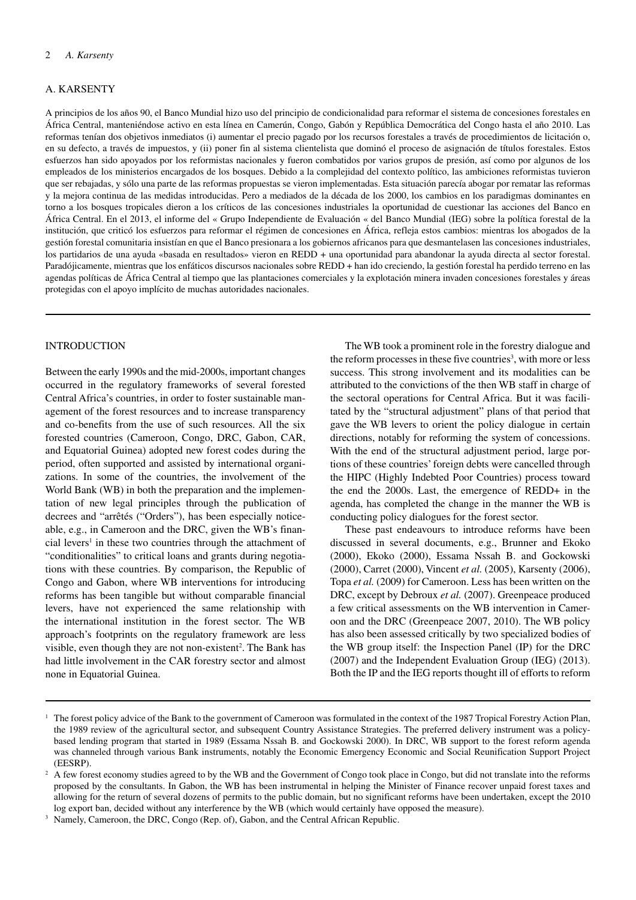#### A. KARSENTY

A principios de los años 90, el Banco Mundial hizo uso del principio de condicionalidad para reformar el sistema de concesiones forestales en África Central, manteniéndose activo en esta línea en Camerún, Congo, Gabón y República Democrática del Congo hasta el año 2010. Las reformas tenían dos objetivos inmediatos (i) aumentar el precio pagado por los recursos forestales a través de procedimientos de licitación o, en su defecto, a través de impuestos, y (ii) poner fin al sistema clientelista que dominó el proceso de asignación de títulos forestales. Estos esfuerzos han sido apoyados por los reformistas nacionales y fueron combatidos por varios grupos de presión, así como por algunos de los empleados de los ministerios encargados de los bosques. Debido a la complejidad del contexto político, las ambiciones reformistas tuvieron que ser rebajadas, y sólo una parte de las reformas propuestas se vieron implementadas. Esta situación parecía abogar por rematar las reformas y la mejora continua de las medidas introducidas. Pero a mediados de la década de los 2000, los cambios en los paradigmas dominantes en torno a los bosques tropicales dieron a los críticos de las concesiones industriales la oportunidad de cuestionar las acciones del Banco en África Central. En el 2013, el informe del « Grupo Independiente de Evaluación « del Banco Mundial (IEG) sobre la política forestal de la institución, que criticó los esfuerzos para reformar el régimen de concesiones en África, refleja estos cambios: mientras los abogados de la gestión forestal comunitaria insistían en que el Banco presionara a los gobiernos africanos para que desmantelasen las concesiones industriales, los partidarios de una ayuda «basada en resultados» vieron en REDD + una oportunidad para abandonar la ayuda directa al sector forestal. Paradójicamente, mientras que los enfáticos discursos nacionales sobre REDD + han ido creciendo, la gestión forestal ha perdido terreno en las agendas políticas de África Central al tiempo que las plantaciones comerciales y la explotación minera invaden concesiones forestales y áreas protegidas con el apoyo implícito de muchas autoridades nacionales.

# **INTRODUCTION**

Between the early 1990s and the mid-2000s, important changes occurred in the regulatory frameworks of several forested Central Africa's countries, in order to foster sustainable management of the forest resources and to increase transparency and co-benefits from the use of such resources. All the six forested countries (Cameroon, Congo, DRC, Gabon, CAR, and Equatorial Guinea) adopted new forest codes during the period, often supported and assisted by international organizations. In some of the countries, the involvement of the World Bank (WB) in both the preparation and the implementation of new legal principles through the publication of decrees and "arrêtés ("Orders"), has been especially noticeable, e.g., in Cameroon and the DRC, given the WB's financial levers<sup>1</sup> in these two countries through the attachment of "conditionalities" to critical loans and grants during negotiations with these countries. By comparison, the Republic of Congo and Gabon, where WB interventions for introducing reforms has been tangible but without comparable financial levers, have not experienced the same relationship with the international institution in the forest sector. The WB approach's footprints on the regulatory framework are less visible, even though they are not non-existent<sup>2</sup>. The Bank has had little involvement in the CAR forestry sector and almost none in Equatorial Guinea.

The WB took a prominent role in the forestry dialogue and the reform processes in these five countries<sup>3</sup>, with more or less success. This strong involvement and its modalities can be attributed to the convictions of the then WB staff in charge of the sectoral operations for Central Africa. But it was facilitated by the "structural adjustment" plans of that period that gave the WB levers to orient the policy dialogue in certain directions, notably for reforming the system of concessions. With the end of the structural adjustment period, large portions of these countries' foreign debts were cancelled through the HIPC (Highly Indebted Poor Countries) process toward the end the 2000s. Last, the emergence of REDD+ in the agenda, has completed the change in the manner the WB is conducting policy dialogues for the forest sector.

These past endeavours to introduce reforms have been discussed in several documents, e.g., Brunner and Ekoko (2000), Ekoko (2000), Essama Nssah B. and Gockowski (2000), Carret (2000), Vincent *et al.* (2005), Karsenty (2006), Topa *et al.* (2009) for Cameroon. Less has been written on the DRC, except by Debroux *et al.* (2007). Greenpeace produced a few critical assessments on the WB intervention in Cameroon and the DRC (Greenpeace 2007, 2010). The WB policy has also been assessed critically by two specialized bodies of the WB group itself: the Inspection Panel (IP) for the DRC (2007) and the Independent Evaluation Group (IEG) (2013). Both the IP and the IEG reports thought ill of efforts to reform

<sup>&</sup>lt;sup>1</sup> The forest policy advice of the Bank to the government of Cameroon was formulated in the context of the 1987 Tropical Forestry Action Plan, the 1989 review of the agricultural sector, and subsequent Country Assistance Strategies. The preferred delivery instrument was a policybased lending program that started in 1989 (Essama Nssah B. and Gockowski 2000). In DRC, WB support to the forest reform agenda was channeled through various Bank instruments, notably the Economic Emergency Economic and Social Reunification Support Project (EESRP).

<sup>&</sup>lt;sup>2</sup> A few forest economy studies agreed to by the WB and the Government of Congo took place in Congo, but did not translate into the reforms proposed by the consultants. In Gabon, the WB has been instrumental in helping the Minister of Finance recover unpaid forest taxes and allowing for the return of several dozens of permits to the public domain, but no significant reforms have been undertaken, except the 2010 log export ban, decided without any interference by the WB (which would certainly have opposed the measure).

<sup>&</sup>lt;sup>3</sup> Namely, Cameroon, the DRC, Congo (Rep. of), Gabon, and the Central African Republic.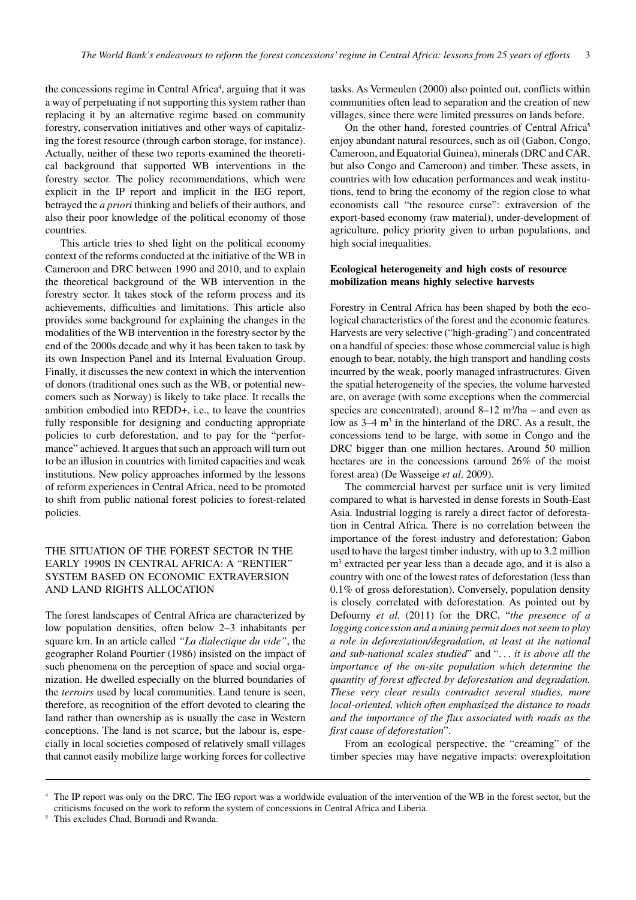the concessions regime in Central Africa<sup>4</sup>, arguing that it was a way of perpetuating if not supporting this system rather than replacing it by an alternative regime based on community forestry, conservation initiatives and other ways of capitalizing the forest resource (through carbon storage, for instance). Actually, neither of these two reports examined the theoretical background that supported WB interventions in the forestry sector. The policy recommendations, which were explicit in the IP report and implicit in the IEG report, betrayed the *a priori* thinking and beliefs of their authors, and also their poor knowledge of the political economy of those countries.

This article tries to shed light on the political economy context of the reforms conducted at the initiative of the WB in Cameroon and DRC between 1990 and 2010, and to explain the theoretical background of the WB intervention in the forestry sector. It takes stock of the reform process and its achievements, difficulties and limitations. This article also provides some background for explaining the changes in the modalities of the WB intervention in the forestry sector by the end of the 2000s decade and why it has been taken to task by its own Inspection Panel and its Internal Evaluation Group. Finally, it discusses the new context in which the intervention of donors (traditional ones such as the WB, or potential newcomers such as Norway) is likely to take place. It recalls the ambition embodied into REDD+, i.e., to leave the countries fully responsible for designing and conducting appropriate policies to curb deforestation, and to pay for the "performance" achieved. It argues that such an approach will turn out to be an illusion in countries with limited capacities and weak institutions. New policy approaches informed by the lessons of reform experiences in Central Africa, need to be promoted to shift from public national forest policies to forest-related policies.

# THE SITUATION OF THE FOREST SECTOR IN THE EARLY 1990S IN CENTRAL AFRICA: A "RENTIER" SYSTEM BASED ON ECONOMIC EXTRAVERSION AND LAND RIGHTS ALLOCATION

The forest landscapes of Central Africa are characterized by low population densities, often below 2–3 inhabitants per square km. In an article called *"La dialectique du vide"*, the geographer Roland Pourtier (1986) insisted on the impact of such phenomena on the perception of space and social organization. He dwelled especially on the blurred boundaries of the *terroirs* used by local communities. Land tenure is seen, therefore, as recognition of the effort devoted to clearing the land rather than ownership as is usually the case in Western conceptions. The land is not scarce, but the labour is, especially in local societies composed of relatively small villages that cannot easily mobilize large working forces for collective

tasks. As Vermeulen (2000) also pointed out, conflicts within communities often lead to separation and the creation of new villages, since there were limited pressures on lands before.

On the other hand, forested countries of Central Africa<sup>5</sup> enjoy abundant natural resources, such as oil (Gabon, Congo, Cameroon, and Equatorial Guinea), minerals (DRC and CAR, but also Congo and Cameroon) and timber. These assets, in countries with low education performances and weak institutions, tend to bring the economy of the region close to what economists call "the resource curse": extraversion of the export-based economy (raw material), under-development of agriculture, policy priority given to urban populations, and high social inequalities.

# **Ecological heterogeneity and high costs of resource mobilization means highly selective harvests**

Forestry in Central Africa has been shaped by both the ecological characteristics of the forest and the economic features. Harvests are very selective ("high-grading") and concentrated on a handful of species: those whose commercial value is high enough to bear, notably, the high transport and handling costs incurred by the weak, poorly managed infrastructures. Given the spatial heterogeneity of the species, the volume harvested are, on average (with some exceptions when the commercial species are concentrated), around  $8-12 \text{ m}^3/\text{ha}$  – and even as low as 3–4 m<sup>3</sup> in the hinterland of the DRC. As a result, the concessions tend to be large, with some in Congo and the DRC bigger than one million hectares. Around 50 million hectares are in the concessions (around 26% of the moist forest area) (De Wasseige *et al*. 2009).

The commercial harvest per surface unit is very limited compared to what is harvested in dense forests in South-East Asia. Industrial logging is rarely a direct factor of deforestation in Central Africa. There is no correlation between the importance of the forest industry and deforestation: Gabon used to have the largest timber industry, with up to 3.2 million m3 extracted per year less than a decade ago, and it is also a country with one of the lowest rates of deforestation (less than 0.1% of gross deforestation). Conversely, population density is closely correlated with deforestation. As pointed out by Defourny *et al.* (2011) for the DRC, "*the presence of a logging concession and a mining permit does not seem to play a role in deforestation/degradation, at least at the national and sub-national scales studied*" and ". . . *it is above all the importance of the on-site population which determine the quantity of forest affected by deforestation and degradation. These very clear results contradict several studies, more local-oriented, which often emphasized the distance to roads and the importance of the flux associated with roads as the first cause of deforestation*".

From an ecological perspective, the "creaming" of the timber species may have negative impacts: overexploitation

<sup>4</sup> The IP report was only on the DRC. The IEG report was a worldwide evaluation of the intervention of the WB in the forest sector, but the criticisms focused on the work to reform the system of concessions in Central Africa and Liberia.

<sup>5</sup> This excludes Chad, Burundi and Rwanda.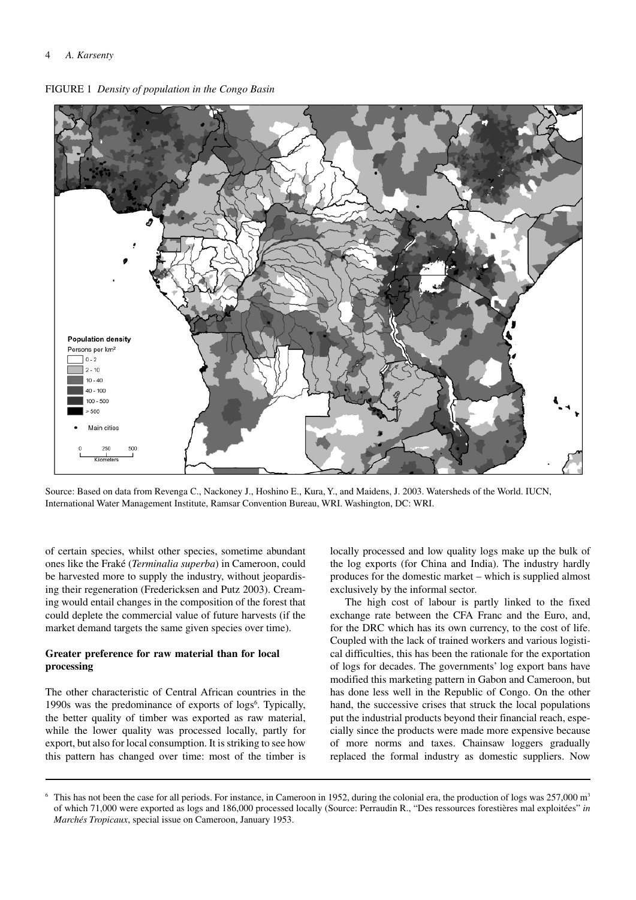



Source: Based on data from Revenga C., Nackoney J., Hoshino E., Kura, Y., and Maidens, J. 2003. Watersheds of the World. IUCN, International Water Management Institute, Ramsar Convention Bureau, WRI. Washington, DC: WRI.

of certain species, whilst other species, sometime abundant ones like the Fraké (*Terminalia superba*) in Cameroon, could be harvested more to supply the industry, without jeopardising their regeneration (Fredericksen and Putz 2003). Creaming would entail changes in the composition of the forest that could deplete the commercial value of future harvests (if the market demand targets the same given species over time).

# **Greater preference for raw material than for local processing**

The other characteristic of Central African countries in the 1990s was the predominance of exports of logs<sup>6</sup>. Typically, the better quality of timber was exported as raw material, while the lower quality was processed locally, partly for export, but also for local consumption. It is striking to see how this pattern has changed over time: most of the timber is

locally processed and low quality logs make up the bulk of the log exports (for China and India). The industry hardly produces for the domestic market – which is supplied almost exclusively by the informal sector.

The high cost of labour is partly linked to the fixed exchange rate between the CFA Franc and the Euro, and, for the DRC which has its own currency, to the cost of life. Coupled with the lack of trained workers and various logistical difficulties, this has been the rationale for the exportation of logs for decades. The governments' log export bans have modified this marketing pattern in Gabon and Cameroon, but has done less well in the Republic of Congo. On the other hand, the successive crises that struck the local populations put the industrial products beyond their financial reach, especially since the products were made more expensive because of more norms and taxes. Chainsaw loggers gradually replaced the formal industry as domestic suppliers. Now

<sup>&</sup>lt;sup>6</sup> This has not been the case for all periods. For instance, in Cameroon in 1952, during the colonial era, the production of logs was  $257,000$  m<sup>3</sup> of which 71,000 were exported as logs and 186,000 processed locally (Source: Perraudin R., "Des ressources forestières mal exploitées" *in Marchés Tropicaux*, special issue on Cameroon, January 1953.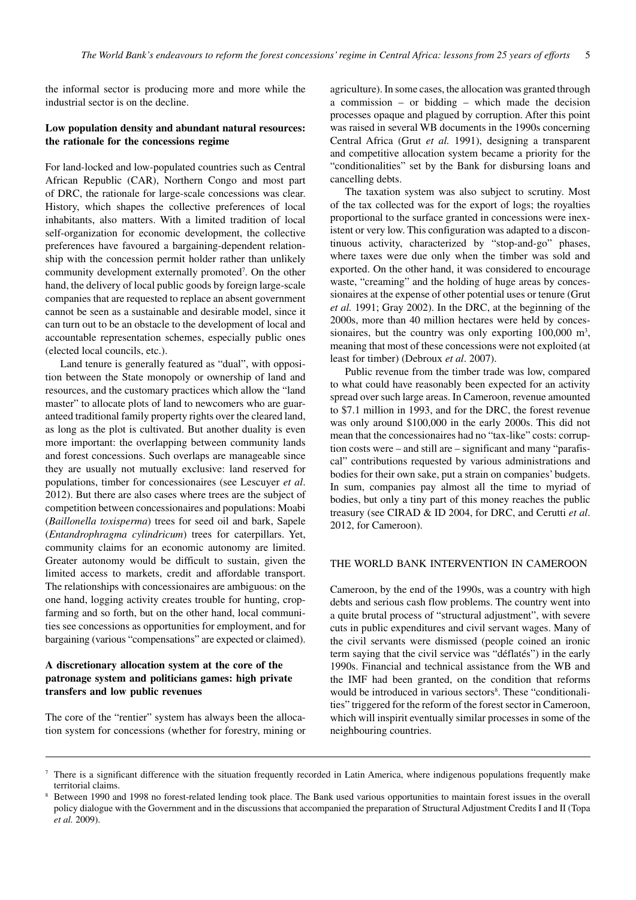the informal sector is producing more and more while the industrial sector is on the decline.

# **Low population density and abundant natural resources: the rationale for the concessions regime**

For land-locked and low-populated countries such as Central African Republic (CAR), Northern Congo and most part of DRC, the rationale for large-scale concessions was clear. History, which shapes the collective preferences of local inhabitants, also matters. With a limited tradition of local self-organization for economic development, the collective preferences have favoured a bargaining-dependent relationship with the concession permit holder rather than unlikely community development externally promoted<sup>7</sup>. On the other hand, the delivery of local public goods by foreign large-scale companies that are requested to replace an absent government cannot be seen as a sustainable and desirable model, since it can turn out to be an obstacle to the development of local and accountable representation schemes, especially public ones (elected local councils, etc.).

Land tenure is generally featured as "dual", with opposition between the State monopoly or ownership of land and resources, and the customary practices which allow the "land master" to allocate plots of land to newcomers who are guaranteed traditional family property rights over the cleared land, as long as the plot is cultivated. But another duality is even more important: the overlapping between community lands and forest concessions. Such overlaps are manageable since they are usually not mutually exclusive: land reserved for populations, timber for concessionaires (see Lescuyer *et al*. 2012). But there are also cases where trees are the subject of competition between concessionaires and populations: Moabi (*Baillonella toxisperma*) trees for seed oil and bark, Sapele (*Entandrophragma cylindricum*) trees for caterpillars. Yet, community claims for an economic autonomy are limited. Greater autonomy would be difficult to sustain, given the limited access to markets, credit and affordable transport. The relationships with concessionaires are ambiguous: on the one hand, logging activity creates trouble for hunting, cropfarming and so forth, but on the other hand, local communities see concessions as opportunities for employment, and for bargaining (various "compensations" are expected or claimed).

# **A discretionary allocation system at the core of the patronage system and politicians games: high private transfers and low public revenues**

The core of the "rentier" system has always been the allocation system for concessions (whether for forestry, mining or agriculture). In some cases, the allocation was granted through a commission – or bidding – which made the decision processes opaque and plagued by corruption. After this point was raised in several WB documents in the 1990s concerning Central Africa (Grut *et al.* 1991), designing a transparent and competitive allocation system became a priority for the "conditionalities" set by the Bank for disbursing loans and cancelling debts.

The taxation system was also subject to scrutiny. Most of the tax collected was for the export of logs; the royalties proportional to the surface granted in concessions were inexistent or very low. This configuration was adapted to a discontinuous activity, characterized by "stop-and-go" phases, where taxes were due only when the timber was sold and exported. On the other hand, it was considered to encourage waste, "creaming" and the holding of huge areas by concessionaires at the expense of other potential uses or tenure (Grut *et al.* 1991; Gray 2002). In the DRC, at the beginning of the 2000s, more than 40 million hectares were held by concessionaires, but the country was only exporting 100,000 m<sup>3</sup>, meaning that most of these concessions were not exploited (at least for timber) (Debroux *et al*. 2007).

Public revenue from the timber trade was low, compared to what could have reasonably been expected for an activity spread over such large areas. In Cameroon, revenue amounted to \$7.1 million in 1993, and for the DRC, the forest revenue was only around \$100,000 in the early 2000s. This did not mean that the concessionaires had no "tax-like" costs: corruption costs were – and still are – significant and many "parafiscal" contributions requested by various administrations and bodies for their own sake, put a strain on companies' budgets. In sum, companies pay almost all the time to myriad of bodies, but only a tiny part of this money reaches the public treasury (see CIRAD & ID 2004, for DRC, and Cerutti *et al*. 2012, for Cameroon).

#### THE WORLD BANK INTERVENTION IN CAMEROON

Cameroon, by the end of the 1990s, was a country with high debts and serious cash flow problems. The country went into a quite brutal process of "structural adjustment", with severe cuts in public expenditures and civil servant wages. Many of the civil servants were dismissed (people coined an ironic term saying that the civil service was "déflatés") in the early 1990s. Financial and technical assistance from the WB and the IMF had been granted, on the condition that reforms would be introduced in various sectors<sup>8</sup>. These "conditionalities" triggered for the reform of the forest sector in Cameroon, which will inspirit eventually similar processes in some of the neighbouring countries.

 $\frac{7}{1}$  There is a significant difference with the situation frequently recorded in Latin America, where indigenous populations frequently make territorial claims.

<sup>8</sup> Between 1990 and 1998 no forest-related lending took place. The Bank used various opportunities to maintain forest issues in the overall policy dialogue with the Government and in the discussions that accompanied the preparation of Structural Adjustment Credits I and II (Topa *et al.* 2009).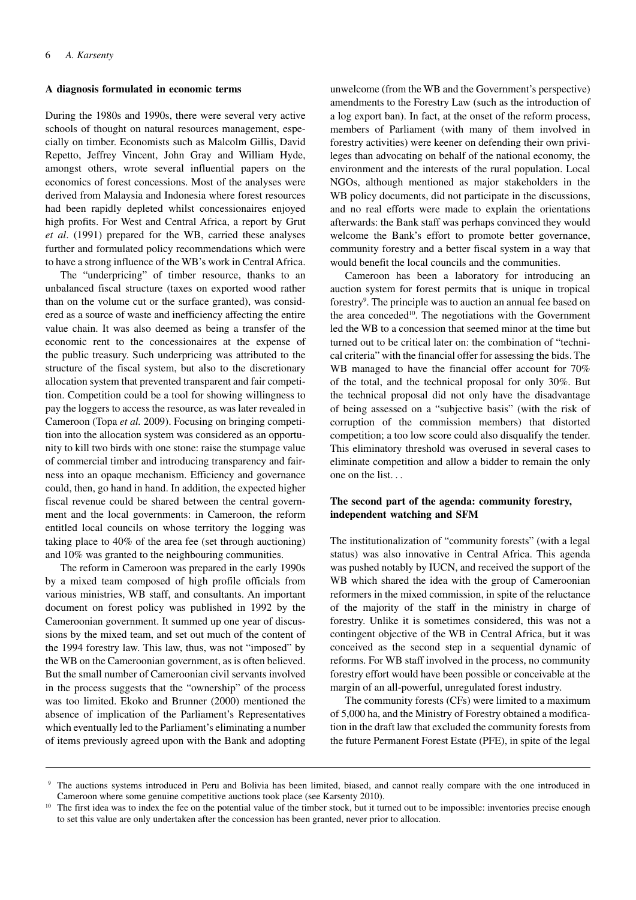#### **A diagnosis formulated in economic terms**

During the 1980s and 1990s, there were several very active schools of thought on natural resources management, especially on timber. Economists such as Malcolm Gillis, David Repetto, Jeffrey Vincent, John Gray and William Hyde, amongst others, wrote several influential papers on the economics of forest concessions. Most of the analyses were derived from Malaysia and Indonesia where forest resources had been rapidly depleted whilst concessionaires enjoyed high profits. For West and Central Africa, a report by Grut *et al*. (1991) prepared for the WB, carried these analyses further and formulated policy recommendations which were to have a strong influence of the WB's work in Central Africa.

The "underpricing" of timber resource, thanks to an unbalanced fiscal structure (taxes on exported wood rather than on the volume cut or the surface granted), was considered as a source of waste and inefficiency affecting the entire value chain. It was also deemed as being a transfer of the economic rent to the concessionaires at the expense of the public treasury. Such underpricing was attributed to the structure of the fiscal system, but also to the discretionary allocation system that prevented transparent and fair competition. Competition could be a tool for showing willingness to pay the loggers to access the resource, as was later revealed in Cameroon (Topa *et al.* 2009). Focusing on bringing competition into the allocation system was considered as an opportunity to kill two birds with one stone: raise the stumpage value of commercial timber and introducing transparency and fairness into an opaque mechanism. Efficiency and governance could, then, go hand in hand. In addition, the expected higher fiscal revenue could be shared between the central government and the local governments: in Cameroon, the reform entitled local councils on whose territory the logging was taking place to 40% of the area fee (set through auctioning) and 10% was granted to the neighbouring communities.

The reform in Cameroon was prepared in the early 1990s by a mixed team composed of high profile officials from various ministries, WB staff, and consultants. An important document on forest policy was published in 1992 by the Cameroonian government. It summed up one year of discussions by the mixed team, and set out much of the content of the 1994 forestry law. This law, thus, was not "imposed" by the WB on the Cameroonian government, as is often believed. But the small number of Cameroonian civil servants involved in the process suggests that the "ownership" of the process was too limited. Ekoko and Brunner (2000) mentioned the absence of implication of the Parliament's Representatives which eventually led to the Parliament's eliminating a number of items previously agreed upon with the Bank and adopting

unwelcome (from the WB and the Government's perspective) amendments to the Forestry Law (such as the introduction of a log export ban). In fact, at the onset of the reform process, members of Parliament (with many of them involved in forestry activities) were keener on defending their own privileges than advocating on behalf of the national economy, the environment and the interests of the rural population. Local NGOs, although mentioned as major stakeholders in the WB policy documents, did not participate in the discussions, and no real efforts were made to explain the orientations afterwards: the Bank staff was perhaps convinced they would welcome the Bank's effort to promote better governance, community forestry and a better fiscal system in a way that would benefit the local councils and the communities.

Cameroon has been a laboratory for introducing an auction system for forest permits that is unique in tropical forestry9 . The principle was to auction an annual fee based on the area conceded<sup>10</sup>. The negotiations with the Government led the WB to a concession that seemed minor at the time but turned out to be critical later on: the combination of "technical criteria" with the financial offer for assessing the bids. The WB managed to have the financial offer account for 70% of the total, and the technical proposal for only 30%. But the technical proposal did not only have the disadvantage of being assessed on a "subjective basis" (with the risk of corruption of the commission members) that distorted competition; a too low score could also disqualify the tender. This eliminatory threshold was overused in several cases to eliminate competition and allow a bidder to remain the only one on the list. . .

# **The second part of the agenda: community forestry, independent watching and SFM**

The institutionalization of "community forests" (with a legal status) was also innovative in Central Africa. This agenda was pushed notably by IUCN, and received the support of the WB which shared the idea with the group of Cameroonian reformers in the mixed commission, in spite of the reluctance of the majority of the staff in the ministry in charge of forestry. Unlike it is sometimes considered, this was not a contingent objective of the WB in Central Africa, but it was conceived as the second step in a sequential dynamic of reforms. For WB staff involved in the process, no community forestry effort would have been possible or conceivable at the margin of an all-powerful, unregulated forest industry.

The community forests (CFs) were limited to a maximum of 5,000 ha, and the Ministry of Forestry obtained a modification in the draft law that excluded the community forests from the future Permanent Forest Estate (PFE), in spite of the legal

<sup>9</sup> The auctions systems introduced in Peru and Bolivia has been limited, biased, and cannot really compare with the one introduced in Cameroon where some genuine competitive auctions took place (see Karsenty 2010).

<sup>&</sup>lt;sup>10</sup> The first idea was to index the fee on the potential value of the timber stock, but it turned out to be impossible: inventories precise enough to set this value are only undertaken after the concession has been granted, never prior to allocation.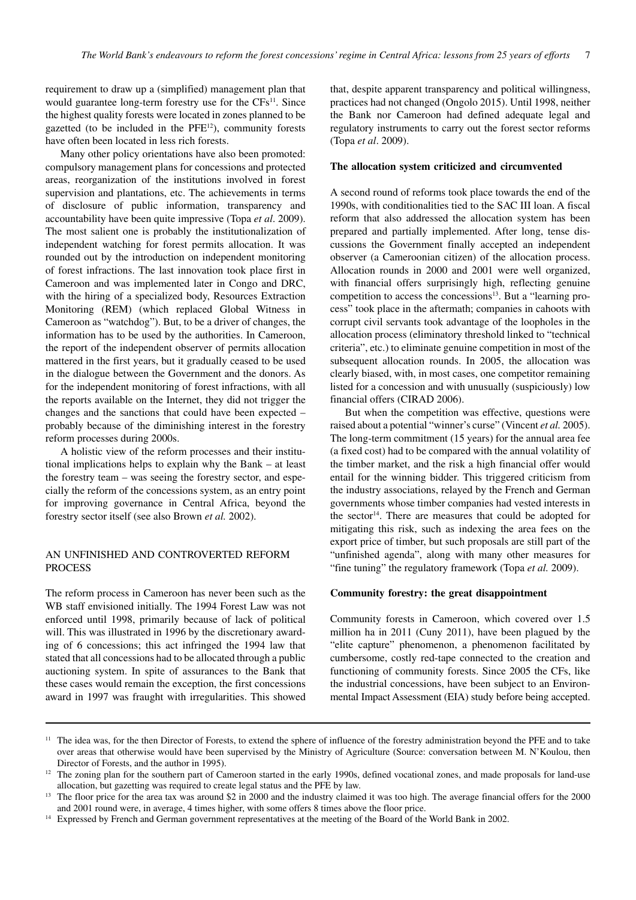requirement to draw up a (simplified) management plan that would guarantee long-term forestry use for the CFs<sup>11</sup>. Since the highest quality forests were located in zones planned to be gazetted (to be included in the PFE12), community forests have often been located in less rich forests.

Many other policy orientations have also been promoted: compulsory management plans for concessions and protected areas, reorganization of the institutions involved in forest supervision and plantations, etc. The achievements in terms of disclosure of public information, transparency and accountability have been quite impressive (Topa *et al*. 2009). The most salient one is probably the institutionalization of independent watching for forest permits allocation. It was rounded out by the introduction on independent monitoring of forest infractions. The last innovation took place first in Cameroon and was implemented later in Congo and DRC, with the hiring of a specialized body, Resources Extraction Monitoring (REM) (which replaced Global Witness in Cameroon as "watchdog"). But, to be a driver of changes, the information has to be used by the authorities. In Cameroon, the report of the independent observer of permits allocation mattered in the first years, but it gradually ceased to be used in the dialogue between the Government and the donors. As for the independent monitoring of forest infractions, with all the reports available on the Internet, they did not trigger the changes and the sanctions that could have been expected – probably because of the diminishing interest in the forestry reform processes during 2000s.

A holistic view of the reform processes and their institutional implications helps to explain why the Bank – at least the forestry team – was seeing the forestry sector, and especially the reform of the concessions system, as an entry point for improving governance in Central Africa, beyond the forestry sector itself (see also Brown *et al.* 2002).

# AN UNFINISHED AND CONTROVERTED REFORM PROCESS

The reform process in Cameroon has never been such as the WB staff envisioned initially. The 1994 Forest Law was not enforced until 1998, primarily because of lack of political will. This was illustrated in 1996 by the discretionary awarding of 6 concessions; this act infringed the 1994 law that stated that all concessions had to be allocated through a public auctioning system. In spite of assurances to the Bank that these cases would remain the exception, the first concessions award in 1997 was fraught with irregularities. This showed

that, despite apparent transparency and political willingness, practices had not changed (Ongolo 2015). Until 1998, neither the Bank nor Cameroon had defined adequate legal and regulatory instruments to carry out the forest sector reforms (Topa *et al*. 2009).

#### **The allocation system criticized and circumvented**

A second round of reforms took place towards the end of the 1990s, with conditionalities tied to the SAC III loan. A fiscal reform that also addressed the allocation system has been prepared and partially implemented. After long, tense discussions the Government finally accepted an independent observer (a Cameroonian citizen) of the allocation process. Allocation rounds in 2000 and 2001 were well organized, with financial offers surprisingly high, reflecting genuine competition to access the concessions<sup>13</sup>. But a "learning process" took place in the aftermath; companies in cahoots with corrupt civil servants took advantage of the loopholes in the allocation process (eliminatory threshold linked to "technical criteria", etc.) to eliminate genuine competition in most of the subsequent allocation rounds. In 2005, the allocation was clearly biased, with, in most cases, one competitor remaining listed for a concession and with unusually (suspiciously) low financial offers (CIRAD 2006).

But when the competition was effective, questions were raised about a potential "winner's curse" (Vincent *et al.* 2005). The long-term commitment (15 years) for the annual area fee (a fixed cost) had to be compared with the annual volatility of the timber market, and the risk a high financial offer would entail for the winning bidder. This triggered criticism from the industry associations, relayed by the French and German governments whose timber companies had vested interests in the sector<sup>14</sup>. There are measures that could be adopted for mitigating this risk, such as indexing the area fees on the export price of timber, but such proposals are still part of the "unfinished agenda", along with many other measures for "fine tuning" the regulatory framework (Topa *et al.* 2009).

## **Community forestry: the great disappointment**

Community forests in Cameroon, which covered over 1.5 million ha in 2011 (Cuny 2011), have been plagued by the "elite capture" phenomenon, a phenomenon facilitated by cumbersome, costly red-tape connected to the creation and functioning of community forests. Since 2005 the CFs, like the industrial concessions, have been subject to an Environmental Impact Assessment (EIA) study before being accepted.

<sup>&</sup>lt;sup>11</sup> The idea was, for the then Director of Forests, to extend the sphere of influence of the forestry administration beyond the PFE and to take over areas that otherwise would have been supervised by the Ministry of Agriculture (Source: conversation between M. N'Koulou, then Director of Forests, and the author in 1995).

<sup>12</sup> The zoning plan for the southern part of Cameroon started in the early 1990s, defined vocational zones, and made proposals for land-use allocation, but gazetting was required to create legal status and the PFE by law.

<sup>13</sup> The floor price for the area tax was around \$2 in 2000 and the industry claimed it was too high. The average financial offers for the 2000 and 2001 round were, in average, 4 times higher, with some offers 8 times above the floor price.

<sup>&</sup>lt;sup>14</sup> Expressed by French and German government representatives at the meeting of the Board of the World Bank in 2002.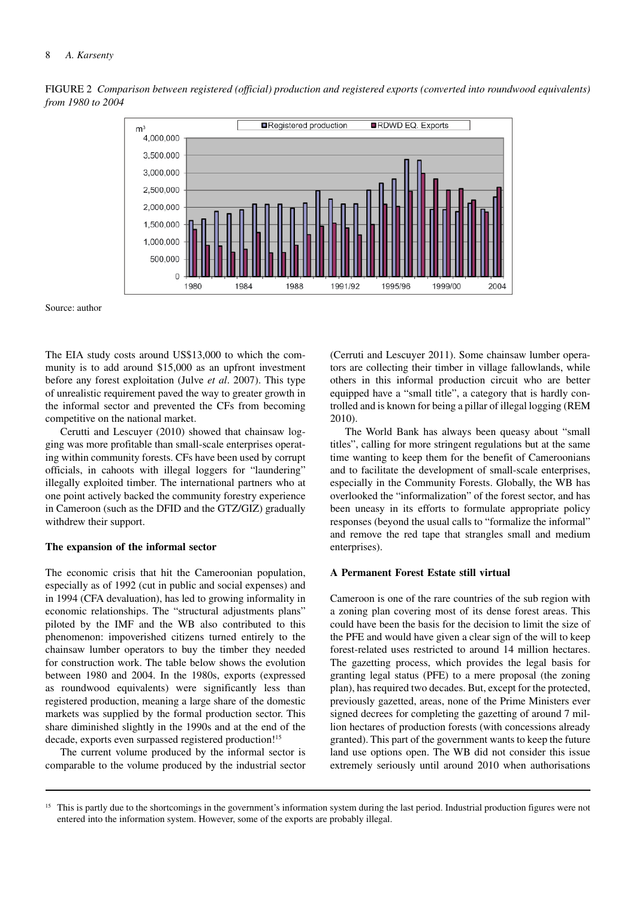#### 8 *A. Karsenty*



Figure 2 *Comparison between registered (official) production and registered exports (converted into roundwood equivalents) from 1980 to 2004*

Source: author

The EIA study costs around US\$13,000 to which the community is to add around \$15,000 as an upfront investment before any forest exploitation (Julve *et al*. 2007). This type of unrealistic requirement paved the way to greater growth in the informal sector and prevented the CFs from becoming competitive on the national market.

Cerutti and Lescuyer (2010) showed that chainsaw logging was more profitable than small-scale enterprises operating within community forests. CFs have been used by corrupt officials, in cahoots with illegal loggers for "laundering" illegally exploited timber. The international partners who at one point actively backed the community forestry experience in Cameroon (such as the DFID and the GTZ/GIZ) gradually withdrew their support.

#### **The expansion of the informal sector**

The economic crisis that hit the Cameroonian population, especially as of 1992 (cut in public and social expenses) and in 1994 (CFA devaluation), has led to growing informality in economic relationships. The "structural adjustments plans" piloted by the IMF and the WB also contributed to this phenomenon: impoverished citizens turned entirely to the chainsaw lumber operators to buy the timber they needed for construction work. The table below shows the evolution between 1980 and 2004. In the 1980s, exports (expressed as roundwood equivalents) were significantly less than registered production, meaning a large share of the domestic markets was supplied by the formal production sector. This share diminished slightly in the 1990s and at the end of the decade, exports even surpassed registered production!<sup>15</sup>

The current volume produced by the informal sector is comparable to the volume produced by the industrial sector

(Cerruti and Lescuyer 2011). Some chainsaw lumber operators are collecting their timber in village fallowlands, while others in this informal production circuit who are better equipped have a "small title", a category that is hardly controlled and is known for being a pillar of illegal logging (REM 2010).

The World Bank has always been queasy about "small titles", calling for more stringent regulations but at the same time wanting to keep them for the benefit of Cameroonians and to facilitate the development of small-scale enterprises, especially in the Community Forests. Globally, the WB has overlooked the "informalization" of the forest sector, and has been uneasy in its efforts to formulate appropriate policy responses (beyond the usual calls to "formalize the informal" and remove the red tape that strangles small and medium enterprises).

#### **A Permanent Forest Estate still virtual**

Cameroon is one of the rare countries of the sub region with a zoning plan covering most of its dense forest areas. This could have been the basis for the decision to limit the size of the PFE and would have given a clear sign of the will to keep forest-related uses restricted to around 14 million hectares. The gazetting process, which provides the legal basis for granting legal status (PFE) to a mere proposal (the zoning plan), has required two decades. But, except for the protected, previously gazetted, areas, none of the Prime Ministers ever signed decrees for completing the gazetting of around 7 million hectares of production forests (with concessions already granted). This part of the government wants to keep the future land use options open. The WB did not consider this issue extremely seriously until around 2010 when authorisations

<sup>&</sup>lt;sup>15</sup> This is partly due to the shortcomings in the government's information system during the last period. Industrial production figures were not entered into the information system. However, some of the exports are probably illegal.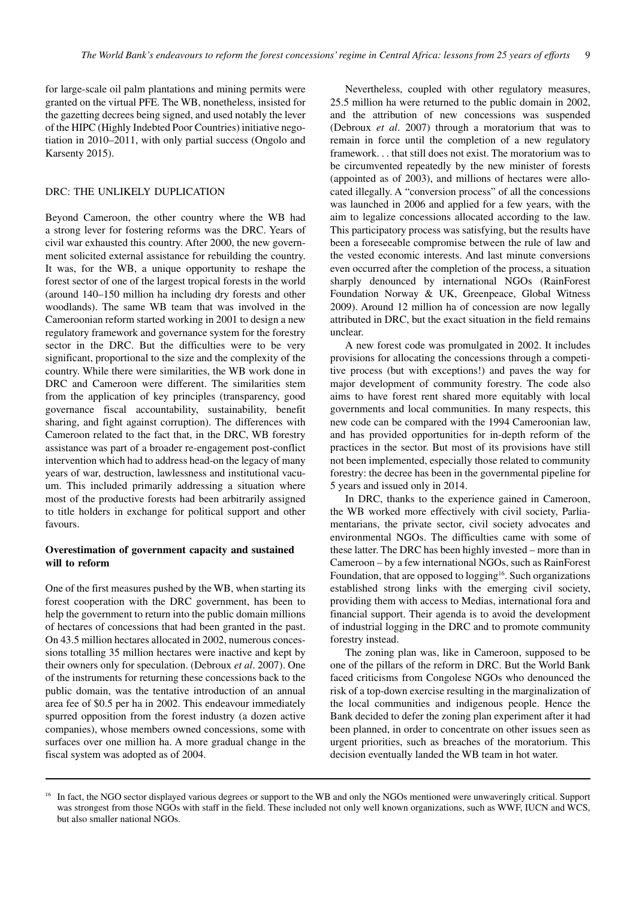for large-scale oil palm plantations and mining permits were granted on the virtual PFE. The WB, nonetheless, insisted for the gazetting decrees being signed, and used notably the lever of the HIPC (Highly Indebted Poor Countries) initiative negotiation in 2010–2011, with only partial success (Ongolo and Karsenty 2015).

# DRC: THE UNLIKELY DUPLICATION

Beyond Cameroon, the other country where the WB had a strong lever for fostering reforms was the DRC. Years of civil war exhausted this country. After 2000, the new government solicited external assistance for rebuilding the country. It was, for the WB, a unique opportunity to reshape the forest sector of one of the largest tropical forests in the world (around 140–150 million ha including dry forests and other woodlands). The same WB team that was involved in the Cameroonian reform started working in 2001 to design a new regulatory framework and governance system for the forestry sector in the DRC. But the difficulties were to be very significant, proportional to the size and the complexity of the country. While there were similarities, the WB work done in DRC and Cameroon were different. The similarities stem from the application of key principles (transparency, good governance fiscal accountability, sustainability, benefit sharing, and fight against corruption). The differences with Cameroon related to the fact that, in the DRC, WB forestry assistance was part of a broader re-engagement post-conflict intervention which had to address head-on the legacy of many years of war, destruction, lawlessness and institutional vacuum. This included primarily addressing a situation where most of the productive forests had been arbitrarily assigned to title holders in exchange for political support and other favours.

# **Overestimation of government capacity and sustained will to reform**

One of the first measures pushed by the WB, when starting its forest cooperation with the DRC government, has been to help the government to return into the public domain millions of hectares of concessions that had been granted in the past. On 43.5 million hectares allocated in 2002, numerous concessions totalling 35 million hectares were inactive and kept by their owners only for speculation. (Debroux *et al*. 2007). One of the instruments for returning these concessions back to the public domain, was the tentative introduction of an annual area fee of \$0.5 per ha in 2002. This endeavour immediately spurred opposition from the forest industry (a dozen active companies), whose members owned concessions, some with surfaces over one million ha. A more gradual change in the fiscal system was adopted as of 2004.

Nevertheless, coupled with other regulatory measures, 25.5 million ha were returned to the public domain in 2002, and the attribution of new concessions was suspended (Debroux *et al*. 2007) through a moratorium that was to remain in force until the completion of a new regulatory framework. . . that still does not exist. The moratorium was to be circumvented repeatedly by the new minister of forests (appointed as of 2003), and millions of hectares were allocated illegally. A "conversion process" of all the concessions was launched in 2006 and applied for a few years, with the aim to legalize concessions allocated according to the law. This participatory process was satisfying, but the results have been a foreseeable compromise between the rule of law and the vested economic interests. And last minute conversions even occurred after the completion of the process, a situation sharply denounced by international NGOs (RainForest Foundation Norway & UK, Greenpeace, Global Witness 2009). Around 12 million ha of concession are now legally attributed in DRC, but the exact situation in the field remains unclear.

A new forest code was promulgated in 2002. It includes provisions for allocating the concessions through a competitive process (but with exceptions!) and paves the way for major development of community forestry. The code also aims to have forest rent shared more equitably with local governments and local communities. In many respects, this new code can be compared with the 1994 Cameroonian law, and has provided opportunities for in-depth reform of the practices in the sector. But most of its provisions have still not been implemented, especially those related to community forestry: the decree has been in the governmental pipeline for 5 years and issued only in 2014.

In DRC, thanks to the experience gained in Cameroon, the WB worked more effectively with civil society, Parliamentarians, the private sector, civil society advocates and environmental NGOs. The difficulties came with some of these latter. The DRC has been highly invested – more than in Cameroon – by a few international NGOs, such as RainForest Foundation, that are opposed to logging<sup>16</sup>. Such organizations established strong links with the emerging civil society, providing them with access to Medias, international fora and financial support. Their agenda is to avoid the development of industrial logging in the DRC and to promote community forestry instead.

The zoning plan was, like in Cameroon, supposed to be one of the pillars of the reform in DRC. But the World Bank faced criticisms from Congolese NGOs who denounced the risk of a top-down exercise resulting in the marginalization of the local communities and indigenous people. Hence the Bank decided to defer the zoning plan experiment after it had been planned, in order to concentrate on other issues seen as urgent priorities, such as breaches of the moratorium. This decision eventually landed the WB team in hot water.

<sup>&</sup>lt;sup>16</sup> In fact, the NGO sector displayed various degrees or support to the WB and only the NGOs mentioned were unwaveringly critical. Support was strongest from those NGOs with staff in the field. These included not only well known organizations, such as WWF, IUCN and WCS, but also smaller national NGOs.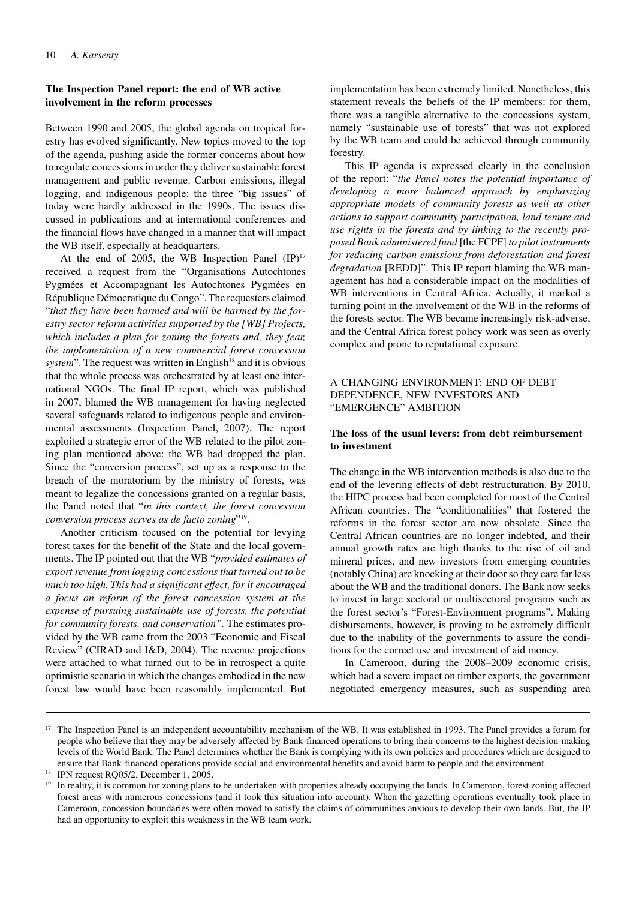# **The Inspection Panel report: the end of WB active involvement in the reform processes**

Between 1990 and 2005, the global agenda on tropical forestry has evolved significantly. New topics moved to the top of the agenda, pushing aside the former concerns about how to regulate concessions in order they deliver sustainable forest management and public revenue. Carbon emissions, illegal logging, and indigenous people: the three "big issues" of today were hardly addressed in the 1990s. The issues discussed in publications and at international conferences and the financial flows have changed in a manner that will impact the WB itself, especially at headquarters.

At the end of 2005, the WB Inspection Panel  $(IP)^{17}$ received a request from the "Organisations Autochtones Pygmées et Accompagnant les Autochtones Pygmées en République Démocratique du Congo". The requesters claimed "*that they have been harmed and will be harmed by the forestry sector reform activities supported by the [WB] Projects, which includes a plan for zoning the forests and, they fear, the implementation of a new commercial forest concession system*". The request was written in English<sup>18</sup> and it is obvious that the whole process was orchestrated by at least one international NGOs. The final IP report, which was published in 2007, blamed the WB management for having neglected several safeguards related to indigenous people and environmental assessments (Inspection Panel, 2007). The report exploited a strategic error of the WB related to the pilot zoning plan mentioned above: the WB had dropped the plan. Since the "conversion process", set up as a response to the breach of the moratorium by the ministry of forests, was meant to legalize the concessions granted on a regular basis, the Panel noted that "*in this context, the forest concession conversion process serves as de facto zoning*"19.

Another criticism focused on the potential for levying forest taxes for the benefit of the State and the local governments. The IP pointed out that the WB "*provided estimates of export revenue from logging concessions that turned out to be much too high. This had a significant effect, for it encouraged a focus on reform of the forest concession system at the expense of pursuing sustainable use of forests, the potential for community forests, and conservation".* The estimates provided by the WB came from the 2003 "Economic and Fiscal Review" (CIRAD and I&D, 2004). The revenue projections were attached to what turned out to be in retrospect a quite optimistic scenario in which the changes embodied in the new forest law would have been reasonably implemented. But

implementation has been extremely limited. Nonetheless, this statement reveals the beliefs of the IP members: for them, there was a tangible alternative to the concessions system, namely "sustainable use of forests" that was not explored by the WB team and could be achieved through community forestry.

This IP agenda is expressed clearly in the conclusion of the report: "*the Panel notes the potential importance of developing a more balanced approach by emphasizing appropriate models of community forests as well as other actions to support community participation, land tenure and use rights in the forests and by linking to the recently proposed Bank administered fund* [the FCPF] *to pilot instruments for reducing carbon emissions from deforestation and forest degradation* [REDD]". This IP report blaming the WB management has had a considerable impact on the modalities of WB interventions in Central Africa. Actually, it marked a turning point in the involvement of the WB in the reforms of the forests sector. The WB became increasingly risk-adverse, and the Central Africa forest policy work was seen as overly complex and prone to reputational exposure.

# A CHANGING ENVIRONMENT: END OF DEBT DEPENDENCE, NEW INVESTORS AND "EMERGENCE" AMBITION

# **The loss of the usual levers: from debt reimbursement to investment**

The change in the WB intervention methods is also due to the end of the levering effects of debt restructuration. By 2010, the HIPC process had been completed for most of the Central African countries. The "conditionalities" that fostered the reforms in the forest sector are now obsolete. Since the Central African countries are no longer indebted, and their annual growth rates are high thanks to the rise of oil and mineral prices, and new investors from emerging countries (notably China) are knocking at their door so they care far less about the WB and the traditional donors. The Bank now seeks to invest in large sectoral or multisectoral programs such as the forest sector's "Forest-Environment programs". Making disbursements, however, is proving to be extremely difficult due to the inability of the governments to assure the conditions for the correct use and investment of aid money.

In Cameroon, during the 2008–2009 economic crisis, which had a severe impact on timber exports, the government negotiated emergency measures, such as suspending area

<sup>&</sup>lt;sup>17</sup> The Inspection Panel is an independent accountability mechanism of the WB. It was established in 1993. The Panel provides a forum for people who believe that they may be adversely affected by Bank-financed operations to bring their concerns to the highest decision-making levels of the World Bank. The Panel determines whether the Bank is complying with its own policies and procedures which are designed to ensure that Bank-financed operations provide social and environmental benefits and avoid harm to people and the environment.

<sup>18</sup> IPN request RQ05/2, December 1, 2005.

<sup>&</sup>lt;sup>19</sup> In reality, it is common for zoning plans to be undertaken with properties already occupying the lands. In Cameroon, forest zoning affected forest areas with numerous concessions (and it took this situation into account). When the gazetting operations eventually took place in Cameroon, concession boundaries were often moved to satisfy the claims of communities anxious to develop their own lands. But, the IP had an opportunity to exploit this weakness in the WB team work.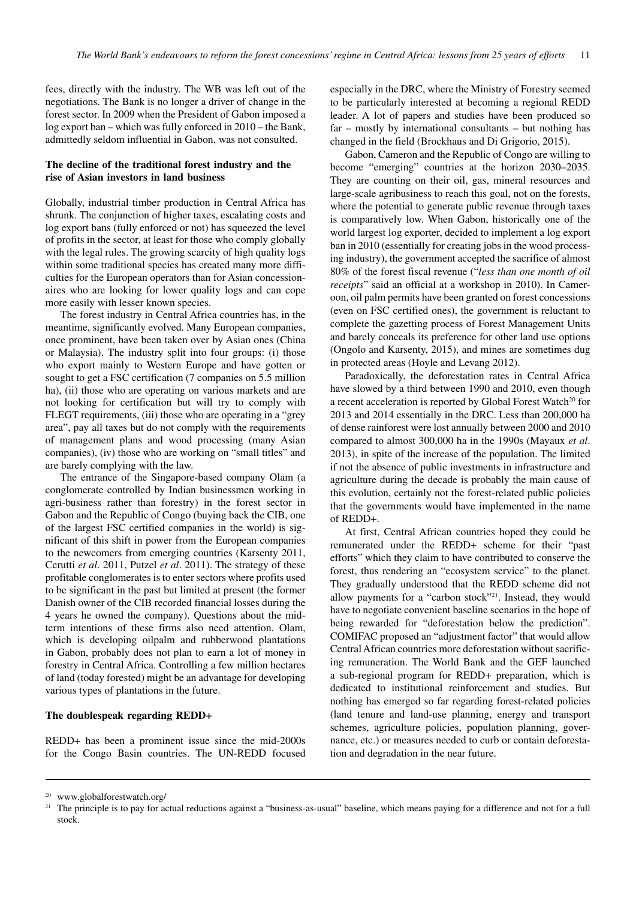fees, directly with the industry. The WB was left out of the negotiations. The Bank is no longer a driver of change in the forest sector. In 2009 when the President of Gabon imposed a log export ban – which was fully enforced in 2010 – the Bank, admittedly seldom influential in Gabon, was not consulted.

# **The decline of the traditional forest industry and the rise of Asian investors in land business**

Globally, industrial timber production in Central Africa has shrunk. The conjunction of higher taxes, escalating costs and log export bans (fully enforced or not) has squeezed the level of profits in the sector, at least for those who comply globally with the legal rules. The growing scarcity of high quality logs within some traditional species has created many more difficulties for the European operators than for Asian concessionaires who are looking for lower quality logs and can cope more easily with lesser known species.

The forest industry in Central Africa countries has, in the meantime, significantly evolved. Many European companies, once prominent, have been taken over by Asian ones (China or Malaysia). The industry split into four groups: (i) those who export mainly to Western Europe and have gotten or sought to get a FSC certification (7 companies on 5.5 million ha), (ii) those who are operating on various markets and are not looking for certification but will try to comply with FLEGT requirements, (iii) those who are operating in a "grey area", pay all taxes but do not comply with the requirements of management plans and wood processing (many Asian companies), (iv) those who are working on "small titles" and are barely complying with the law.

The entrance of the Singapore-based company Olam (a conglomerate controlled by Indian businessmen working in agri-business rather than forestry) in the forest sector in Gabon and the Republic of Congo (buying back the CIB, one of the largest FSC certified companies in the world) is significant of this shift in power from the European companies to the newcomers from emerging countries (Karsenty 2011, Cerutti *et al*. 2011, Putzel *et al*. 2011). The strategy of these profitable conglomerates is to enter sectors where profits used to be significant in the past but limited at present (the former Danish owner of the CIB recorded financial losses during the 4 years he owned the company). Questions about the midterm intentions of these firms also need attention. Olam, which is developing oilpalm and rubberwood plantations in Gabon, probably does not plan to earn a lot of money in forestry in Central Africa. Controlling a few million hectares of land (today forested) might be an advantage for developing various types of plantations in the future.

#### **The doublespeak regarding REDD+**

REDD+ has been a prominent issue since the mid-2000s for the Congo Basin countries. The UN-REDD focused

especially in the DRC, where the Ministry of Forestry seemed to be particularly interested at becoming a regional REDD leader. A lot of papers and studies have been produced so far – mostly by international consultants – but nothing has changed in the field (Brockhaus and Di Grigorio, 2015).

Gabon, Cameron and the Republic of Congo are willing to become "emerging" countries at the horizon 2030–2035. They are counting on their oil, gas, mineral resources and large-scale agribusiness to reach this goal, not on the forests, where the potential to generate public revenue through taxes is comparatively low. When Gabon, historically one of the world largest log exporter, decided to implement a log export ban in 2010 (essentially for creating jobs in the wood processing industry), the government accepted the sacrifice of almost 80% of the forest fiscal revenue ("*less than one month of oil receipts*" said an official at a workshop in 2010). In Cameroon, oil palm permits have been granted on forest concessions (even on FSC certified ones), the government is reluctant to complete the gazetting process of Forest Management Units and barely conceals its preference for other land use options (Ongolo and Karsenty, 2015), and mines are sometimes dug in protected areas (Hoyle and Levang 2012).

Paradoxically, the deforestation rates in Central Africa have slowed by a third between 1990 and 2010, even though a recent acceleration is reported by Global Forest Watch<sup>20</sup> for 2013 and 2014 essentially in the DRC. Less than 200,000 ha of dense rainforest were lost annually between 2000 and 2010 compared to almost 300,000 ha in the 1990s (Mayaux *et al*. 2013), in spite of the increase of the population. The limited if not the absence of public investments in infrastructure and agriculture during the decade is probably the main cause of this evolution, certainly not the forest-related public policies that the governments would have implemented in the name of REDD+.

At first, Central African countries hoped they could be remunerated under the REDD+ scheme for their "past efforts" which they claim to have contributed to conserve the forest, thus rendering an "ecosystem service" to the planet. They gradually understood that the REDD scheme did not allow payments for a "carbon stock"21. Instead, they would have to negotiate convenient baseline scenarios in the hope of being rewarded for "deforestation below the prediction". COMIFAC proposed an "adjustment factor" that would allow Central African countries more deforestation without sacrificing remuneration. The World Bank and the GEF launched a sub-regional program for REDD+ preparation, which is dedicated to institutional reinforcement and studies. But nothing has emerged so far regarding forest-related policies (land tenure and land-use planning, energy and transport schemes, agriculture policies, population planning, governance, etc.) or measures needed to curb or contain deforestation and degradation in the near future.

<sup>20</sup> [www.globalforestwatch.org/](http://www.globalforestwatch.org/)

<sup>&</sup>lt;sup>21</sup> The principle is to pay for actual reductions against a "business-as-usual" baseline, which means paying for a difference and not for a full stock.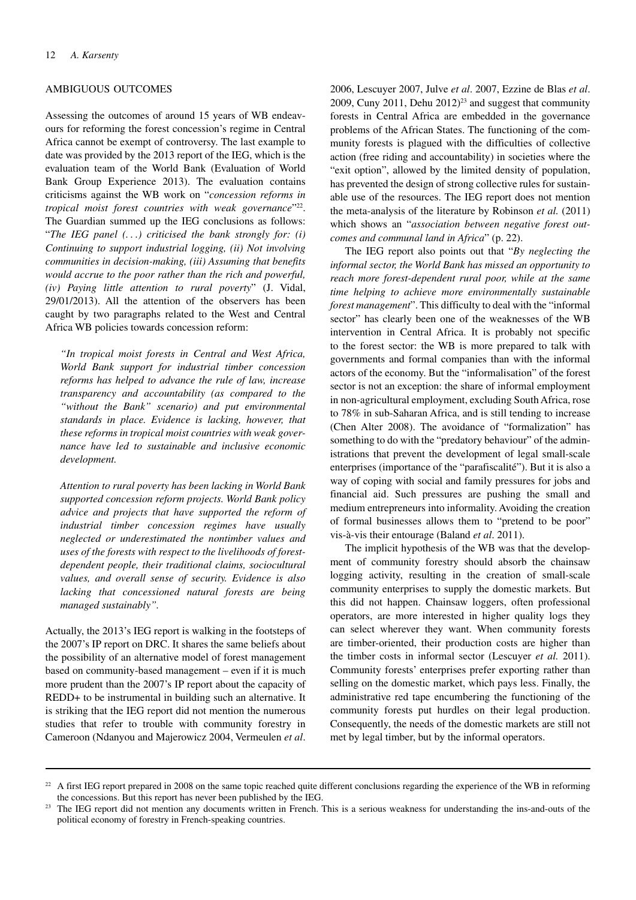### AMBIGUOUS OUTCOMES

Assessing the outcomes of around 15 years of WB endeavours for reforming the forest concession's regime in Central Africa cannot be exempt of controversy. The last example to date was provided by the 2013 report of the IEG, which is the evaluation team of the World Bank (Evaluation of World Bank Group Experience 2013). The evaluation contains criticisms against the WB work on "*concession reforms in tropical moist forest countries with weak governance*"22. The Guardian summed up the IEG conclusions as follows: "*The IEG panel (. . .) criticised the bank strongly for: (i) Continuing to support industrial logging, (ii) Not involving communities in decision-making, (iii) Assuming that benefits would accrue to the poor rather than the rich and powerful, (iv) Paying little attention to rural poverty*" (J. Vidal, 29/01/2013). All the attention of the observers has been caught by two paragraphs related to the West and Central Africa WB policies towards concession reform:

*"In tropical moist forests in Central and West Africa, World Bank support for industrial timber concession reforms has helped to advance the rule of law, increase transparency and accountability (as compared to the "without the Bank" scenario) and put environmental standards in place. Evidence is lacking, however, that these reforms in tropical moist countries with weak governance have led to sustainable and inclusive economic development.* 

*Attention to rural poverty has been lacking in World Bank supported concession reform projects. World Bank policy advice and projects that have supported the reform of industrial timber concession regimes have usually neglected or underestimated the nontimber values and uses of the forests with respect to the livelihoods of forestdependent people, their traditional claims, sociocultural values, and overall sense of security. Evidence is also lacking that concessioned natural forests are being managed sustainably".*

Actually, the 2013's IEG report is walking in the footsteps of the 2007's IP report on DRC. It shares the same beliefs about the possibility of an alternative model of forest management based on community-based management – even if it is much more prudent than the 2007's IP report about the capacity of REDD+ to be instrumental in building such an alternative. It is striking that the IEG report did not mention the numerous studies that refer to trouble with community forestry in Cameroon (Ndanyou and Majerowicz 2004, Vermeulen *et al*.

2006, Lescuyer 2007, Julve *et al*. 2007, Ezzine de Blas *et al*. 2009, Cuny 2011, Dehu  $2012)^{23}$  and suggest that community forests in Central Africa are embedded in the governance problems of the African States. The functioning of the community forests is plagued with the difficulties of collective action (free riding and accountability) in societies where the "exit option", allowed by the limited density of population, has prevented the design of strong collective rules for sustainable use of the resources. The IEG report does not mention the meta-analysis of the literature by Robinson *et al.* (2011) which shows an "*association between negative forest outcomes and communal land in Africa*" (p. 22).

The IEG report also points out that "*By neglecting the informal sector, the World Bank has missed an opportunity to reach more forest-dependent rural poor, while at the same time helping to achieve more environmentally sustainable forest management*". This difficulty to deal with the "informal sector" has clearly been one of the weaknesses of the WB intervention in Central Africa. It is probably not specific to the forest sector: the WB is more prepared to talk with governments and formal companies than with the informal actors of the economy. But the "informalisation" of the forest sector is not an exception: the share of informal employment in non-agricultural employment, excluding South Africa, rose to 78% in sub-Saharan Africa, and is still tending to increase (Chen Alter 2008). The avoidance of "formalization" has something to do with the "predatory behaviour" of the administrations that prevent the development of legal small-scale enterprises (importance of the "parafiscalité"). But it is also a way of coping with social and family pressures for jobs and financial aid. Such pressures are pushing the small and medium entrepreneurs into informality. Avoiding the creation of formal businesses allows them to "pretend to be poor" vis-à-vis their entourage (Baland *et al*. 2011).

The implicit hypothesis of the WB was that the development of community forestry should absorb the chainsaw logging activity, resulting in the creation of small-scale community enterprises to supply the domestic markets. But this did not happen. Chainsaw loggers, often professional operators, are more interested in higher quality logs they can select wherever they want. When community forests are timber-oriented, their production costs are higher than the timber costs in informal sector (Lescuyer *et al.* 2011). Community forests' enterprises prefer exporting rather than selling on the domestic market, which pays less. Finally, the administrative red tape encumbering the functioning of the community forests put hurdles on their legal production. Consequently, the needs of the domestic markets are still not met by legal timber, but by the informal operators.

 $22$  A first IEG report prepared in 2008 on the same topic reached quite different conclusions regarding the experience of the WB in reforming the concessions. But this report has never been published by the IEG.

<sup>23</sup> The IEG report did not mention any documents written in French. This is a serious weakness for understanding the ins-and-outs of the political economy of forestry in French-speaking countries.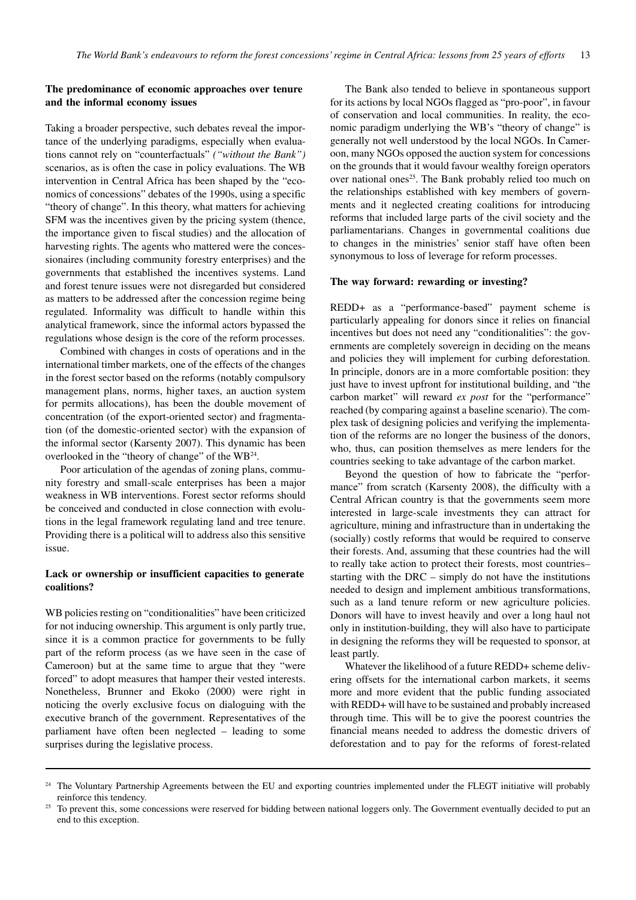# **The predominance of economic approaches over tenure and the informal economy issues**

Taking a broader perspective, such debates reveal the importance of the underlying paradigms, especially when evaluations cannot rely on "counterfactuals" *("without the Bank")* scenarios, as is often the case in policy evaluations. The WB intervention in Central Africa has been shaped by the "economics of concessions" debates of the 1990s, using a specific "theory of change". In this theory, what matters for achieving SFM was the incentives given by the pricing system (thence, the importance given to fiscal studies) and the allocation of harvesting rights. The agents who mattered were the concessionaires (including community forestry enterprises) and the governments that established the incentives systems. Land and forest tenure issues were not disregarded but considered as matters to be addressed after the concession regime being regulated. Informality was difficult to handle within this analytical framework, since the informal actors bypassed the regulations whose design is the core of the reform processes.

Combined with changes in costs of operations and in the international timber markets, one of the effects of the changes in the forest sector based on the reforms (notably compulsory management plans, norms, higher taxes, an auction system for permits allocations), has been the double movement of concentration (of the export-oriented sector) and fragmentation (of the domestic-oriented sector) with the expansion of the informal sector (Karsenty 2007). This dynamic has been overlooked in the "theory of change" of the WB24.

Poor articulation of the agendas of zoning plans, community forestry and small-scale enterprises has been a major weakness in WB interventions. Forest sector reforms should be conceived and conducted in close connection with evolutions in the legal framework regulating land and tree tenure. Providing there is a political will to address also this sensitive issue.

### **Lack or ownership or insufficient capacities to generate coalitions?**

WB policies resting on "conditionalities" have been criticized for not inducing ownership. This argument is only partly true, since it is a common practice for governments to be fully part of the reform process (as we have seen in the case of Cameroon) but at the same time to argue that they "were forced" to adopt measures that hamper their vested interests. Nonetheless, Brunner and Ekoko (2000) were right in noticing the overly exclusive focus on dialoguing with the executive branch of the government. Representatives of the parliament have often been neglected – leading to some surprises during the legislative process.

The Bank also tended to believe in spontaneous support for its actions by local NGOs flagged as "pro-poor", in favour of conservation and local communities. In reality, the economic paradigm underlying the WB's "theory of change" is generally not well understood by the local NGOs. In Cameroon, many NGOs opposed the auction system for concessions on the grounds that it would favour wealthy foreign operators over national ones<sup>25</sup>. The Bank probably relied too much on the relationships established with key members of governments and it neglected creating coalitions for introducing reforms that included large parts of the civil society and the parliamentarians. Changes in governmental coalitions due to changes in the ministries' senior staff have often been synonymous to loss of leverage for reform processes.

#### **The way forward: rewarding or investing?**

REDD+ as a "performance-based" payment scheme is particularly appealing for donors since it relies on financial incentives but does not need any "conditionalities": the governments are completely sovereign in deciding on the means and policies they will implement for curbing deforestation. In principle, donors are in a more comfortable position: they just have to invest upfront for institutional building, and "the carbon market" will reward *ex post* for the "performance" reached (by comparing against a baseline scenario). The complex task of designing policies and verifying the implementation of the reforms are no longer the business of the donors, who, thus, can position themselves as mere lenders for the countries seeking to take advantage of the carbon market.

Beyond the question of how to fabricate the "performance" from scratch (Karsenty 2008), the difficulty with a Central African country is that the governments seem more interested in large-scale investments they can attract for agriculture, mining and infrastructure than in undertaking the (socially) costly reforms that would be required to conserve their forests. And, assuming that these countries had the will to really take action to protect their forests, most countries– starting with the DRC – simply do not have the institutions needed to design and implement ambitious transformations, such as a land tenure reform or new agriculture policies. Donors will have to invest heavily and over a long haul not only in institution-building, they will also have to participate in designing the reforms they will be requested to sponsor, at least partly.

Whatever the likelihood of a future REDD+ scheme delivering offsets for the international carbon markets, it seems more and more evident that the public funding associated with REDD+ will have to be sustained and probably increased through time. This will be to give the poorest countries the financial means needed to address the domestic drivers of deforestation and to pay for the reforms of forest-related

<sup>&</sup>lt;sup>24</sup> The Voluntary Partnership Agreements between the EU and exporting countries implemented under the FLEGT initiative will probably reinforce this tendency.

<sup>25</sup> To prevent this, some concessions were reserved for bidding between national loggers only. The Government eventually decided to put an end to this exception.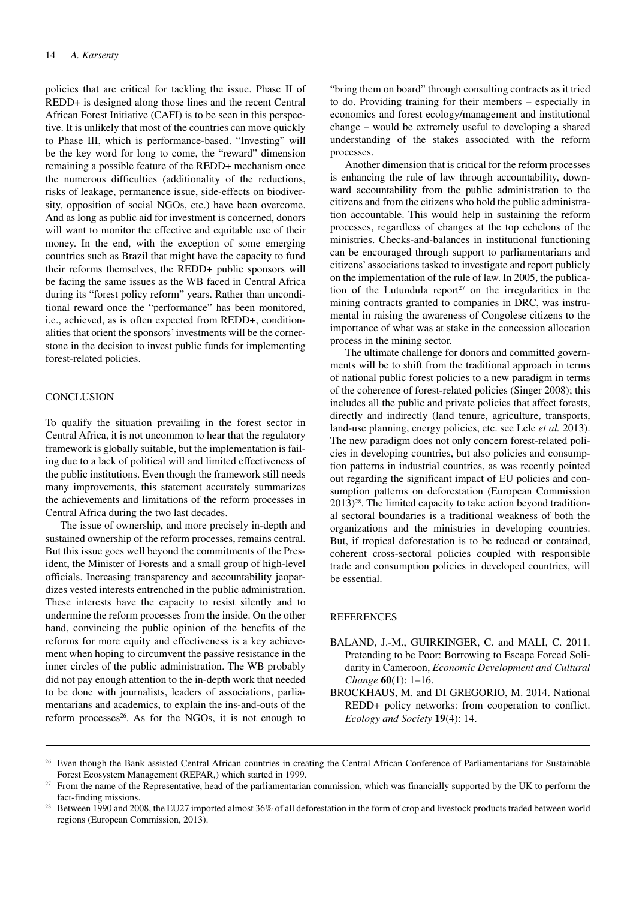policies that are critical for tackling the issue. Phase II of REDD+ is designed along those lines and the recent Central African Forest Initiative (CAFI) is to be seen in this perspective. It is unlikely that most of the countries can move quickly to Phase III, which is performance-based. "Investing" will be the key word for long to come, the "reward" dimension remaining a possible feature of the REDD+ mechanism once the numerous difficulties (additionality of the reductions, risks of leakage, permanence issue, side-effects on biodiversity, opposition of social NGOs, etc.) have been overcome. And as long as public aid for investment is concerned, donors will want to monitor the effective and equitable use of their money. In the end, with the exception of some emerging countries such as Brazil that might have the capacity to fund their reforms themselves, the REDD+ public sponsors will be facing the same issues as the WB faced in Central Africa during its "forest policy reform" years. Rather than unconditional reward once the "performance" has been monitored, i.e., achieved, as is often expected from REDD+, conditionalities that orient the sponsors' investments will be the cornerstone in the decision to invest public funds for implementing forest-related policies.

#### **CONCLUSION**

To qualify the situation prevailing in the forest sector in Central Africa, it is not uncommon to hear that the regulatory framework is globally suitable, but the implementation is failing due to a lack of political will and limited effectiveness of the public institutions. Even though the framework still needs many improvements, this statement accurately summarizes the achievements and limitations of the reform processes in Central Africa during the two last decades.

The issue of ownership, and more precisely in-depth and sustained ownership of the reform processes, remains central. But this issue goes well beyond the commitments of the President, the Minister of Forests and a small group of high-level officials. Increasing transparency and accountability jeopardizes vested interests entrenched in the public administration. These interests have the capacity to resist silently and to undermine the reform processes from the inside. On the other hand, convincing the public opinion of the benefits of the reforms for more equity and effectiveness is a key achievement when hoping to circumvent the passive resistance in the inner circles of the public administration. The WB probably did not pay enough attention to the in-depth work that needed to be done with journalists, leaders of associations, parliamentarians and academics, to explain the ins-and-outs of the reform processes $26$ . As for the NGOs, it is not enough to

"bring them on board" through consulting contracts as it tried to do. Providing training for their members – especially in economics and forest ecology/management and institutional change – would be extremely useful to developing a shared understanding of the stakes associated with the reform processes.

Another dimension that is critical for the reform processes is enhancing the rule of law through accountability, downward accountability from the public administration to the citizens and from the citizens who hold the public administration accountable. This would help in sustaining the reform processes, regardless of changes at the top echelons of the ministries. Checks-and-balances in institutional functioning can be encouraged through support to parliamentarians and citizens' associations tasked to investigate and report publicly on the implementation of the rule of law. In 2005, the publication of the Lutundula report<sup>27</sup> on the irregularities in the mining contracts granted to companies in DRC, was instrumental in raising the awareness of Congolese citizens to the importance of what was at stake in the concession allocation process in the mining sector.

The ultimate challenge for donors and committed governments will be to shift from the traditional approach in terms of national public forest policies to a new paradigm in terms of the coherence of forest-related policies (Singer 2008); this includes all the public and private policies that affect forests, directly and indirectly (land tenure, agriculture, transports, land-use planning, energy policies, etc. see Lele *et al.* 2013). The new paradigm does not only concern forest-related policies in developing countries, but also policies and consumption patterns in industrial countries, as was recently pointed out regarding the significant impact of EU policies and consumption patterns on deforestation (European Commission  $2013)^{28}$ . The limited capacity to take action beyond traditional sectoral boundaries is a traditional weakness of both the organizations and the ministries in developing countries. But, if tropical deforestation is to be reduced or contained, coherent cross-sectoral policies coupled with responsible trade and consumption policies in developed countries, will be essential.

#### **REFERENCES**

- BALAND, J.-M., GUIRKINGER, C. and MALI, C. 2011. Pretending to be Poor: Borrowing to Escape Forced Solidarity in Cameroon, *Economic Development and Cultural Change* **60**(1): 1–16.
- BROCKHAUS, M. and DI GREGORIO, M. 2014. National REDD+ policy networks: from cooperation to conflict. *Ecology and Society* **19**(4): 14.

<sup>&</sup>lt;sup>26</sup> Even though the Bank assisted Central African countries in creating the Central African Conference of Parliamentarians for Sustainable Forest Ecosystem Management (REPAR,) which started in 1999.

<sup>27</sup> From the name of the Representative, head of the parliamentarian commission, which was financially supported by the UK to perform the fact-finding missions.

<sup>28</sup> Between 1990 and 2008, the EU27 imported almost 36% of all deforestation in the form of crop and livestock products traded between world regions (European Commission, 2013).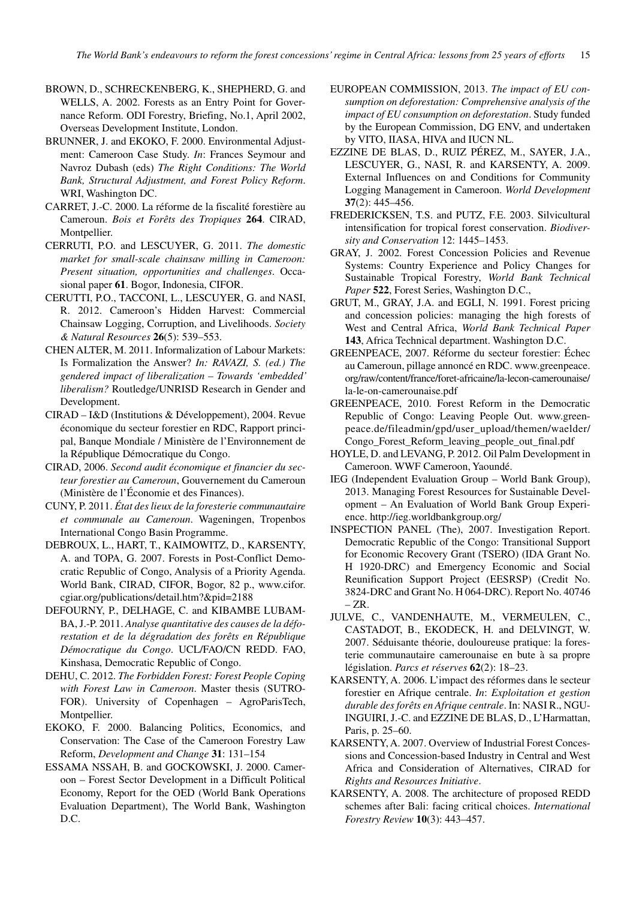- BROWN, D., SCHRECKENBERG, K., SHEPHERD, G. and WELLS, A. 2002. Forests as an Entry Point for Governance Reform. ODI Forestry, Briefing, No.1, April 2002, Overseas Development Institute, London.
- BRUNNER, J. and EKOKO, F. 2000. Environmental Adjustment: Cameroon Case Study. *In*: Frances Seymour and Navroz Dubash (eds) *The Right Conditions: The World Bank, Structural Adjustment, and Forest Policy Reform*. WRI, Washington DC.
- CARRET, J.-C. 2000. La réforme de la fiscalité forestière au Cameroun. *Bois et Forêts des Tropiques* **264**. CIRAD, Montpellier.
- CERRUTI, P.O. and LESCUYER, G. 2011. *The domestic market for small-scale chainsaw milling in Cameroon: Present situation, opportunities and challenges*. Occasional paper **61**. Bogor, Indonesia, CIFOR.
- CERUTTI, P.O., TACCONI, L., LESCUYER, G. and NASI, R. 2012. Cameroon's Hidden Harvest: Commercial Chainsaw Logging, Corruption, and Livelihoods. *Society & Natural Resources* **26**(5): 539–553.
- CHEN ALTER, M. 2011. Informalization of Labour Markets: Is Formalization the Answer? *In: RAVAZI, S. (ed.) The gendered impact of liberalization* – *Towards 'embedded' liberalism?* Routledge/UNRISD Research in Gender and Development.
- CIRAD I&D (Institutions & Développement), 2004. Revue économique du secteur forestier en RDC, Rapport principal, Banque Mondiale / Ministère de l'Environnement de la République Démocratique du Congo.
- CIRAD, 2006. *Second audit économique et financier du secteur forestier au Cameroun*, Gouvernement du Cameroun (Ministère de l'Économie et des Finances).
- CUNY, P. 2011. *État des lieux de la foresterie communautaire et communale au Cameroun*. Wageningen, Tropenbos International Congo Basin Programme.
- DEBROUX, L., HART, T., KAIMOWITZ, D., KARSENTY, A. and TOPA, G. 2007. Forests in Post-Conflict Democratic Republic of Congo, Analysis of a Priority Agenda. World Bank, CIRAD, CIFOR, Bogor, 82 p., www.cifor. cgiar.org/publications/detail.htm?&pid=2188
- DEFOURNY, P., DELHAGE, C. and KIBAMBE LUBAM-BA, J.-P. 2011. *Analyse quantitative des causes de la déforestation et de la dégradation des forêts en République Démocratique du Congo*. UCL/FAO/CN REDD. FAO, Kinshasa, Democratic Republic of Congo.
- DEHU, C. 2012. *The Forbidden Forest: Forest People Coping with Forest Law in Cameroon*. Master thesis (SUTRO-FOR). University of Copenhagen – AgroParisTech, Montpellier.
- EKOKO, F. 2000. Balancing Politics, Economics, and Conservation: The Case of the Cameroon Forestry Law Reform, *Development and Change* **31**: 131–154
- ESSAMA NSSAH, B. and GOCKOWSKI, J. 2000. Cameroon – Forest Sector Development in a Difficult Political Economy, Report for the OED (World Bank Operations Evaluation Department), The World Bank, Washington D.C.
- EUROPEAN COMMISSION, 2013. *The impact of EU consumption on deforestation: Comprehensive analysis of the impact of EU consumption on deforestation*. Study funded by the European Commission, DG ENV, and undertaken by VITO, IIASA, HIVA and IUCN NL.
- EZZINE DE BLAS, D., RUIZ PÉREZ, M., SAYER, J.A., LESCUYER, G., NASI, R. and KARSENTY, A. 2009. External Influences on and Conditions for Community Logging Management in Cameroon. *World Development* **37**(2): 445–456.
- FREDERICKSEN, T.S. and PUTZ, F.E. 2003. Silvicultural intensification for tropical forest conservation. *Biodiversity and Conservation* 12: 1445–1453.
- GRAY, J. 2002. Forest Concession Policies and Revenue Systems: Country Experience and Policy Changes for Sustainable Tropical Forestry, *World Bank Technical Paper* **522**, Forest Series, Washington D.C.,
- GRUT, M., GRAY, J.A. and EGLI, N. 1991. Forest pricing and concession policies: managing the high forests of West and Central Africa, *World Bank Technical Paper*  **143**, Africa Technical department. Washington D.C.
- GREENPEACE, 2007. Réforme du secteur forestier: Échec au Cameroun, pillage annoncé en RDC. [www.greenpeace.](http://www.greenpeace.org/raw/content/france/foret-africaine/la-lecon-camerounaise/la-le-on-camerounaise.pdf) [org/raw/content/france/foret-africaine/la-lecon-camerounaise/](http://www.greenpeace.org/raw/content/france/foret-africaine/la-lecon-camerounaise/la-le-on-camerounaise.pdf) [la-le-on-camerounaise.pdf](http://www.greenpeace.org/raw/content/france/foret-africaine/la-lecon-camerounaise/la-le-on-camerounaise.pdf)
- GREENPEACE, 2010. Forest Reform in the Democratic Republic of Congo: Leaving People Out. [www.green](http://www.greenpeace.de/fileadmin/gpd/user_upload/themen/waelder/Congo_Forest_Reform_leaving_people_out_final.pdf)[peace.de/fileadmin/gpd/user\\_upload/themen/waelder/](http://www.greenpeace.de/fileadmin/gpd/user_upload/themen/waelder/Congo_Forest_Reform_leaving_people_out_final.pdf) [Congo\\_Forest\\_Reform\\_leaving\\_people\\_out\\_final.pdf](http://www.greenpeace.de/fileadmin/gpd/user_upload/themen/waelder/Congo_Forest_Reform_leaving_people_out_final.pdf)
- HOYLE, D. and LEVANG, P. 2012. Oil Palm Development in Cameroon. WWF Cameroon, Yaoundé.
- IEG (Independent Evaluation Group World Bank Group), 2013. Managing Forest Resources for Sustainable Development – An Evaluation of World Bank Group Experience.<http://ieg.worldbankgroup.org/>
- INSPECTION PANEL (The), 2007. Investigation Report. Democratic Republic of the Congo: Transitional Support for Economic Recovery Grant (TSERO) (IDA Grant No. H 1920-DRC) and Emergency Economic and Social Reunification Support Project (EESRSP) (Credit No. 3824-DRC and Grant No. H 064-DRC). Report No. 40746  $-ZR$ .
- JULVE, C., VANDENHAUTE, M., VERMEULEN, C., CASTADOT, B., EKODECK, H. and DELVINGT, W. 2007. Séduisante théorie, douloureuse pratique: la foresterie communautaire camerounaise en bute à sa propre législation. *Parcs et réserves* **62**(2): 18–23.
- KARSENTY, A. 2006. L'impact des réformes dans le secteur forestier en Afrique centrale. *In*: *Exploitation et gestion durable des forêts en Afrique centrale*. In: NASI R., NGU-INGUIRI, J.-C. and EZZINE DE BLAS, D., L'Harmattan, Paris, p. 25–60.
- KARSENTY, A. 2007. Overview of Industrial Forest Concessions and Concession-based Industry in Central and West Africa and Consideration of Alternatives, CIRAD for *Rights and Resources Initiative*.
- KARSENTY, A. 2008. The architecture of proposed REDD schemes after Bali: facing critical choices. *International Forestry Review* **10**(3): 443–457.